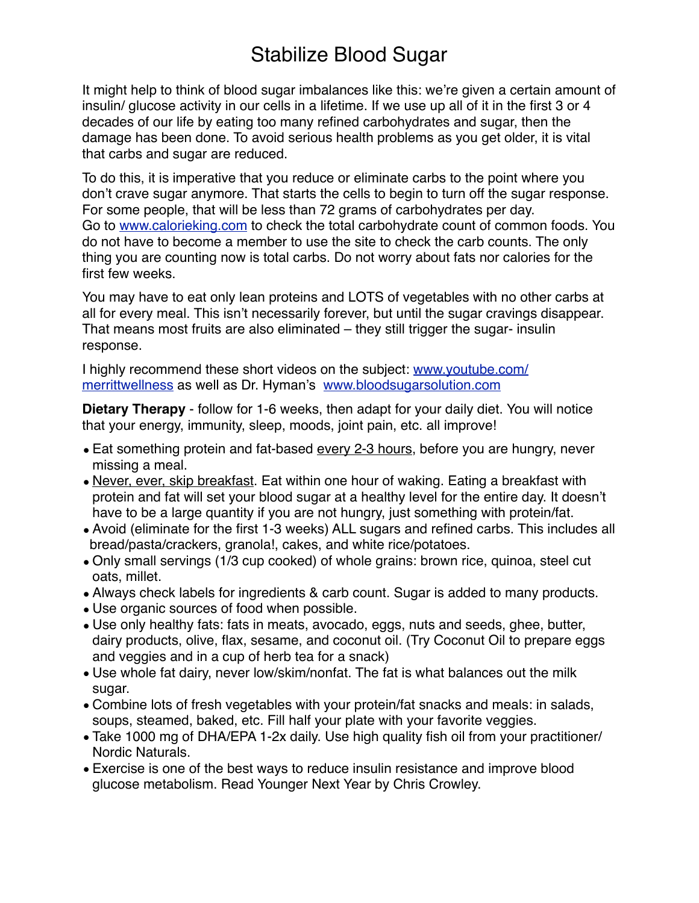## Stabilize Blood Sugar

It might help to think of blood sugar imbalances like this: we're given a certain amount of insulin/ glucose activity in our cells in a lifetime. If we use up all of it in the first 3 or 4 decades of our life by eating too many refined carbohydrates and sugar, then the damage has been done. To avoid serious health problems as you get older, it is vital that carbs and sugar are reduced.

To do this, it is imperative that you reduce or eliminate carbs to the point where you don't crave sugar anymore. That starts the cells to begin to turn off the sugar response. For some people, that will be less than 72 grams of carbohydrates per day. Go to [www.calorieking.com](http://www.calorieking.com) to check the total carbohydrate count of common foods. You do not have to become a member to use the site to check the carb counts. The only thing you are counting now is total carbs. Do not worry about fats nor calories for the first few weeks.

You may have to eat only lean proteins and LOTS of vegetables with no other carbs at all for every meal. This isn't necessarily forever, but until the sugar cravings disappear. That means most fruits are also eliminated – they still trigger the sugar- insulin response.

I highly recommend these short videos on the subject: [www.youtube.com/](http://www.youtube.com/merrittwellness) [merrittwellness](http://www.youtube.com/merrittwellness) as well as Dr. Hyman's [www.bloodsugarsolution.com](http://www.bloodsugarsolution.com)

**Dietary Therapy** - follow for 1-6 weeks, then adapt for your daily diet. You will notice that your energy, immunity, sleep, moods, joint pain, etc. all improve!

- Eat something protein and fat-based every 2-3 hours, before you are hungry, never missing a meal.
- •Never, ever, skip breakfast. Eat within one hour of waking. Eating a breakfast with protein and fat will set your blood sugar at a healthy level for the entire day. It doesn't have to be a large quantity if you are not hungry, just something with protein/fat.
- •Avoid (eliminate for the first 1-3 weeks) ALL sugars and refined carbs. This includes all bread/pasta/crackers, granola!, cakes, and white rice/potatoes.
- •Only small servings (1/3 cup cooked) of whole grains: brown rice, quinoa, steel cut oats, millet.
- •Always check labels for ingredients & carb count. Sugar is added to many products.
- •Use organic sources of food when possible.
- •Use only healthy fats: fats in meats, avocado, eggs, nuts and seeds, ghee, butter, dairy products, olive, flax, sesame, and coconut oil. (Try Coconut Oil to prepare eggs and veggies and in a cup of herb tea for a snack)
- •Use whole fat dairy, never low/skim/nonfat. The fat is what balances out the milk sugar.
- •Combine lots of fresh vegetables with your protein/fat snacks and meals: in salads, soups, steamed, baked, etc. Fill half your plate with your favorite veggies.
- •Take 1000 mg of DHA/EPA 1-2x daily. Use high quality fish oil from your practitioner/ Nordic Naturals.
- •Exercise is one of the best ways to reduce insulin resistance and improve blood glucose metabolism. Read Younger Next Year by Chris Crowley.